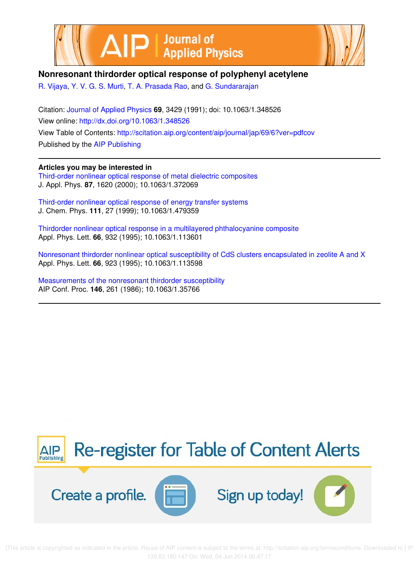



# **Nonresonant thirdorder optical response of polyphenyl acetylene**

R. Vijaya, Y. V. G. S. Murti, T. A. Prasada Rao, and G. Sundararajan

Citation: Journal of Applied Physics **69**, 3429 (1991); doi: 10.1063/1.348526 View online: http://dx.doi.org/10.1063/1.348526 View Table of Contents: http://scitation.aip.org/content/aip/journal/jap/69/6?ver=pdfcov Published by the AIP Publishing

**Articles you may be interested in**

Third-order nonlinear optical response of metal dielectric composites J. Appl. Phys. **87**, 1620 (2000); 10.1063/1.372069

Third-order nonlinear optical response of energy transfer systems J. Chem. Phys. **111**, 27 (1999); 10.1063/1.479359

Thirdorder nonlinear optical response in a multilayered phthalocyanine composite Appl. Phys. Lett. **66**, 932 (1995); 10.1063/1.113601

Nonresonant thirdorder nonlinear optical susceptibility of CdS clusters encapsulated in zeolite A and X Appl. Phys. Lett. **66**, 923 (1995); 10.1063/1.113598

Measurements of the nonresonant thirdorder susceptibility AIP Conf. Proc. **146**, 261 (1986); 10.1063/1.35766



 [This article is copyrighted as indicated in the article. Reuse of AIP content is subject to the terms at: http://scitation.aip.org/termsconditions. Downloaded to ] IP: 130.63.180.147 On: Wed, 04 Jun 2014 06:47:17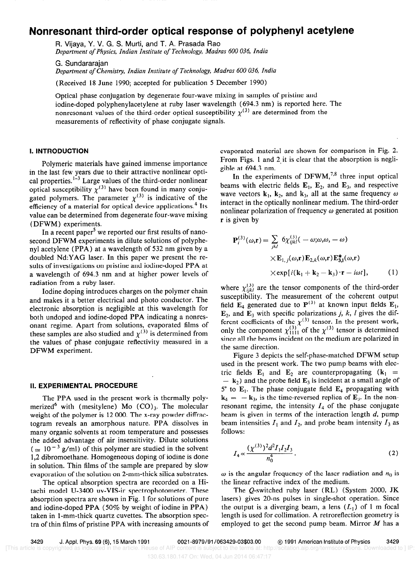# Nonresonant third-order optical response of polyphenyl acetylene

FL Vijaya, Y. V. G. S. Murti, and T. A. Prasada Rao Department of Physics, Indian Institute of Technology, Madras 600 036, India

G. Sundararajan Department of Chemistry, Indian Institute of Technology, Madras 600 036, India

(Received 18 June 1990; accepted for publication 5 December 1990)

Optical phase conjugation by degenerate four-wave mixing in samples of pristine and iodine-doped polyphenylacetylene at ruby laser wavelength (694.3 nm) is reported here. The nonresonant values of the third-order optical susceptibility  $\chi^{(3)}$  are determined from the measurements of reflectivity of phase conjugate signals.

### I. INTRODUCTION

Polymeric materials have gained immense importance in the last few years due to their attractive nonlinear optical properties.<sup>1-3</sup> Large values of the third-order nonlinear optical susceptibility  $\chi^{(3)}$  have been found in many conjugated polymers. The parameter  $\chi^{(3)}$  is indicative of the efficiency of a material for optical device applications.<sup>4</sup> Its value can be determined from degenerate four-wave mixing (DFWM) experiments.

In a recent paper<sup>5</sup> we reported our first results of nanosecond DFWM experiments in dilute solutions of polyphenyl acetylene (PPA) at a wavelength of 532 nm given by a doubled Nd:YAG laser. In this paper we present the results of investigations on pristine and iodine-doped PPA at a wavelength of 694.3 nm and at higher power levels of radiation from a ruby laser.

Iodine doping introduces charges on the polymer chain and makes it a better electrical and photo conductor. The electronic absorption is negligible at this wavelength for both undoped and iodine-doped PPA indicating a nonresonant regime. Apart from solutions, evaporated films of these samples are also studied and  $\chi^{(3)}$  is determined from the values of phase conjugate reflectivity measured in a DFWM experiment.

#### II. EXPERIMENTAL PROCEDURE

The PPA used in the present work is thermally polymerized<sup>6</sup> with (mesitylene) Mo  $(CO)_3$ . The molecular weight of the polymer is 12 000. The x-ray powder diffractogram reveals an amorphous nature. PPA dissolves in many organic solvents at room temperature and possesses the added advantage of air insensitivity. Dilute solutions  $( \simeq 10^{-3} \text{ g/ml})$  of this polymer are studied in the solvent 1,2 dibromoethane. Homogeneous doping of iodine is done in solution. Thin films of the sample are prepared by slow evaporation of the solution on 2-mm-thick silica substrates.

The optical absorption spectra are recorded on a Hitachi model U-3400 uv-VIS-ir spectrophotometer. These absorption spectra are shown in Fig. 1 for solutions of pure and iodine-doped PPA (50% by weight of iodine in PPA) taken in l-mm-thick quartz cuvettes. The absorption spectra of thin films of pristine PPA with increasing amounts of

evaporated material are shown for comparison in Fig. 2. From Figs. 1 and 2 it is clear that the absorption is negligible at 694.3 nm.

In the experiments of  $DFWM<sub>1</sub><sup>7,8</sup>$  three input optical beams with electric fields  $E_1$ ,  $E_2$ , and  $E_3$ , and respective wave vectors  $k_1$ ,  $k_2$ , and  $k_3$ , all at the same frequency  $\omega$ interact in the optically nonlinear medium. The third-order nonlinear polarization of frequency  $\omega$  generated at position r is given by

$$
\mathbf{P}_{i}^{(3)}(\omega,\mathbf{r}) = \sum_{jkl} 6\chi_{ijkl}^{(3)}(-\omega;\omega,\omega,-\omega) \times \mathbf{E}_{1,j}(\omega,\mathbf{r})\mathbf{E}_{2,k}(\omega,\mathbf{r})\mathbf{E}_{3,l}^{*}(\omega,\mathbf{r}) \times \exp[i(\mathbf{k}_{1}+\mathbf{k}_{2}-\mathbf{k}_{3})\cdot\mathbf{r}-i\omega t], \qquad (1)
$$

where  $\chi^{(3)}_{ijkl}$  are the tensor components of the third-order susceptibility. The measurement of the coherent output field  $\mathbf{E}_4$  generated due to  $\mathbf{P}^{(3)}$  at known input fields  $\mathbf{E}_1$ ,  $\mathbf{E}_2$ , and  $\mathbf{E}_3$  with specific polarizations *j*, *k*, *l* gives the different coefficients of the  $\chi^{(3)}$  tensor. In the present work, only the component  $\chi_{1111}^{3}$  of the  $\chi_{12}^{3}$  tensor is determined since all the beams incident on the medium are polarized in the same direction.

Figure 3 depicts the self-phase-matched DFWM setup used in the present work. The two pump beams with electric fields  $E_1$  and  $E_2$  are counterpropagating  $(k_1 =$  $-$  k<sub>2</sub>) and the probe field  $E_3$  is incident at a small angle of  $5^{\circ}$  to  $\mathbf{E}_1$ . The phase conjugate field  $\mathbf{E}_4$  propagating with  $k_4 = -k_3$ , is the time-reversed replica of  $E_3$ . In the nonresonant regime, the intensity  $I_4$  of the phase conjugate beam is given in terms of the interaction length d, pump beam intensities  $I_1$  and  $I_2$ , and probe beam intensity  $I_3$  as follows:

$$
I_4 \propto \frac{(\chi^{(3)})^2 d^2 I_1 I_2 I_3}{n_0^4}.
$$
 (2)

 $\omega$  is the angular frequency of the laser radiation and  $n_0$  is the linear refractive index of the medium.

The Q-switched ruby laser (RL) (System 2000, JK lasers) gives 20-ns pulses in single-shot operation. Since the output is a diverging beam, a lens  $(L<sub>1</sub>)$  of 1 m focal length is used for collimation. A retroreflection geometry is employed to get the second pump beam. Mirror  $M$  has a

[This article is copyrighted as indicated in the article. Reuse of AIP content is subject to the terms at: http://scitation.aip.org/termsconditions. Downloaded to ] IP:

130.63.180.147 On: Wed, 04 Jun 2014 06:47:17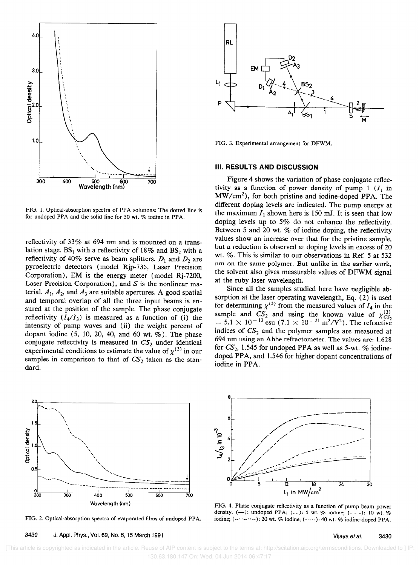

FIG. 1. Optical-absorption spectra of PPA solutions: The dotted line is for undoped PPA and the solid line for 50 wt. % iodine in PPA.

reflectivity of 33% at 694 nm and is mounted on a translation stage.  $BS_1$  with a reflectivity of 18% and  $BS_2$  with a reflectivity of 40% serve as beam splitters.  $D_1$  and  $D_2$  are pyroelectric detectors (model Rjp-735, Laser Precision Corporation), EM is the energy meter (model Rj-7200, Laser Precision Corporation), and  $S$  is the nonlinear material.  $A_1$ ,  $A_2$ , and  $A_3$  are suitable apertures. A good spatial and temporal overlap of all the three input beams is ensured at the position of the sample. The phase conjugate reflectivity  $(I_4/I_3)$  is measured as a function of (i) the intensity of pump waves and (ii) the weight percent of dopant iodine  $(5, 10, 20, 40, \text{ and } 60 \text{ wt. } \%)$ . The phase conjugate reflectivity is measured in  $CS_2$  under identical experimental conditions to estimate the value of  $\chi^{(3)}$  in our samples in comparison to that of  $CS_2$  taken as the standard.









FIG. 3. Experimental arrangement for DFWM.

### III. RESULTS AND DISCUSSION

Figure 4 shows the variation of phase conjugate reflectivity as a function of power density of pump 1  $(I_1 \text{ in}$ MW/cm2), for both pristine and iodine-doped PPA. The different doping levels are indicated. The pump energy at the maximum  $I_1$  shown here is 150 mJ. It is seen that low doping levels up to 5% do not enhance the reflectivity. Between 5 and 20 wt. % of iodine doping, the reflectivity values show an increase over that for the pristine sample, but a reduction is observed at doping levels in excess of 20 wt. %. This is similar to our observations in Ref. 5 at 532 nm on the same polymer. But unlike in the earlier work, the solvent also gives measurable values of DFWM signal at the ruby laser wavelength.

Since all the samples studied here have negligible absorption at the laser operating wavelength, Eq. (2) is used for determining  $\chi^{(3)}$  from the measured values of  $I_4$  in the sample and  $CS_2$  and using the known value of  $\chi_{CS}^{(3)}$  $= 5.1 \times 10^{-13}$  esu (7.1  $\times 10^{-21}$  m<sup>2</sup>/V<sup>2</sup>). The refractive indices of  $CS_2$  and the polymer samples are measured at 694 nm using an Abbe refractometer. The values are: 1.628 for  $CS_2$ , 1.545 for undoped PPA as well as 5-wt. % iodinedoped PPA, and 1.546 for higher dopant concentrations of iodine in PPA.



FIG. 4. Phase conjugate reflectivity as a function of pump beam power density. (-): undoped PPA; (....): 5 wt. % iodine;  $(- - 1)$ : 10 wt. % iodine; (--··--··--): 20 wt. % iodine; (----): 40 wt. % iodine-doped PPA.